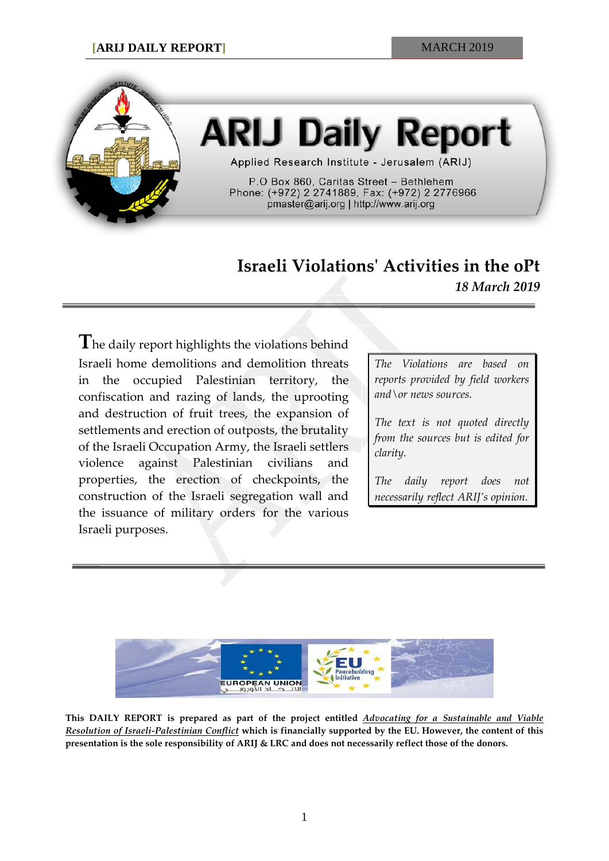

# **ARIJ Daily Report**

Applied Research Institute - Jerusalem (ARIJ)

P.O Box 860, Caritas Street - Bethlehem Phone: (+972) 2 2741889, Fax: (+972) 2 2776966 pmaster@arij.org | http://www.arij.org

# **Israeli Violations' Activities in the oPt** *18 March 2019*

**T**he daily report highlights the violations behind Israeli home demolitions and demolition threats in the occupied Palestinian territory, the confiscation and razing of lands, the uprooting and destruction of fruit trees, the expansion of settlements and erection of outposts, the brutality of the Israeli Occupation Army, the Israeli settlers violence against Palestinian civilians and properties, the erection of checkpoints, the construction of the Israeli segregation wall and the issuance of military orders for the various Israeli purposes.

*The Violations are based on reports provided by field workers and\or news sources.*

*The text is not quoted directly from the sources but is edited for clarity.*

*The daily report does not necessarily reflect ARIJ's opinion.*



**This DAILY REPORT is prepared as part of the project entitled** *Advocating for a Sustainable and Viable Resolution of Israeli-Palestinian Conflict* **which is financially supported by the EU. However, the content of this presentation is the sole responsibility of ARIJ & LRC and does not necessarily reflect those of the donors.**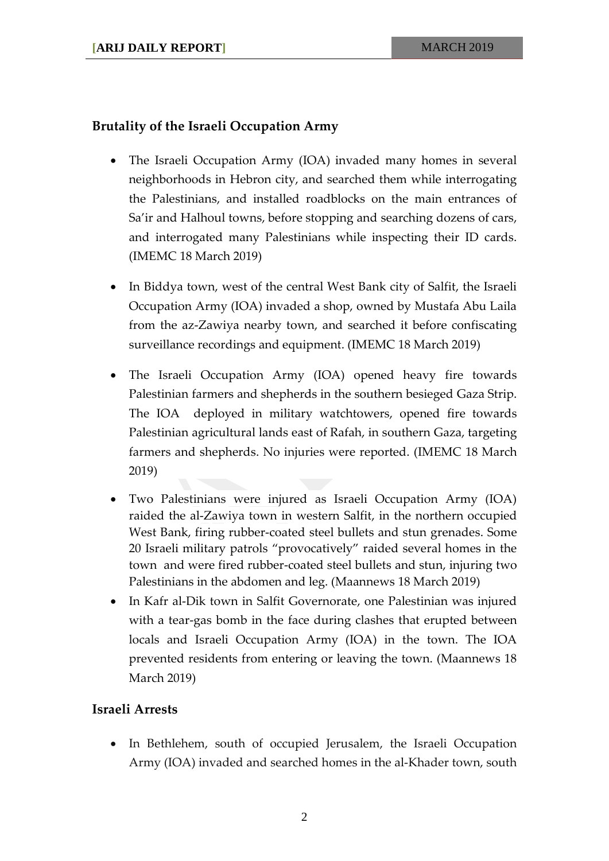## **Brutality of the Israeli Occupation Army**

- The Israeli Occupation Army (IOA) invaded many homes in several neighborhoods in Hebron city, and searched them while interrogating the Palestinians, and installed roadblocks on the main entrances of Sa'ir and Halhoul towns, before stopping and searching dozens of cars, and interrogated many Palestinians while inspecting their ID cards. (IMEMC 18 March 2019)
- In Biddya town, west of the central West Bank city of Salfit, the Israeli Occupation Army (IOA) invaded a shop, owned by Mustafa Abu Laila from the az-Zawiya nearby town, and searched it before confiscating surveillance recordings and equipment. (IMEMC 18 March 2019)
- The Israeli Occupation Army (IOA) opened heavy fire towards Palestinian farmers and shepherds in the southern besieged Gaza Strip. The IOA deployed in military watchtowers, opened fire towards Palestinian agricultural lands east of Rafah, in southern Gaza, targeting farmers and shepherds. No injuries were reported. (IMEMC 18 March 2019)
- Two Palestinians were injured as Israeli Occupation Army (IOA) raided the al-Zawiya town in western Salfit, in the northern occupied West Bank, firing rubber-coated steel bullets and stun grenades. Some 20 Israeli military patrols "provocatively" raided several homes in the town and were fired rubber-coated steel bullets and stun, injuring two Palestinians in the abdomen and leg. (Maannews 18 March 2019)
- In Kafr al-Dik town in Salfit Governorate, one Palestinian was injured with a tear-gas bomb in the face during clashes that erupted between locals and Israeli Occupation Army (IOA) in the town. The IOA prevented residents from entering or leaving the town. (Maannews 18 March 2019)

### **Israeli Arrests**

• In Bethlehem, south of occupied Jerusalem, the Israeli Occupation Army (IOA) invaded and searched homes in the al-Khader town, south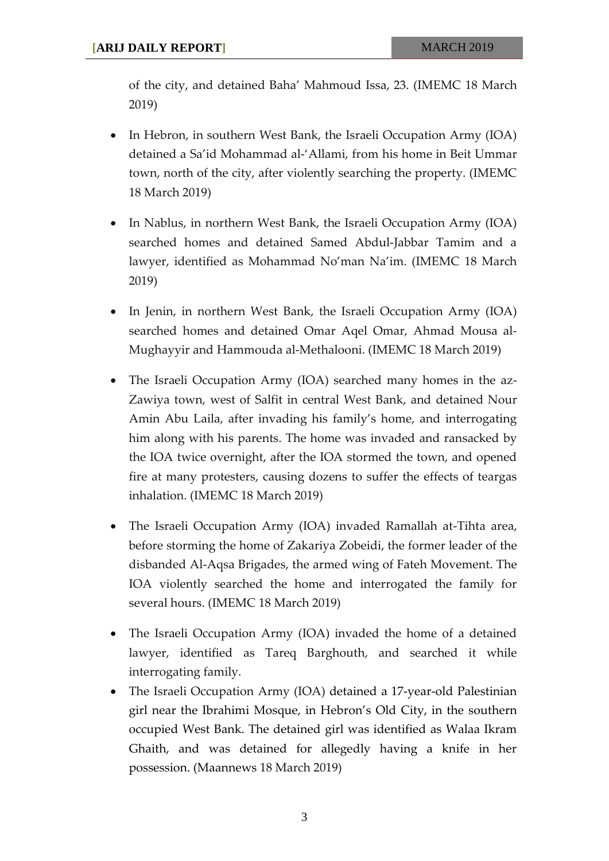of the city, and detained Baha' Mahmoud Issa, 23. (IMEMC 18 March 2019)

- In Hebron, in southern West Bank, the Israeli Occupation Army (IOA) detained a Sa'id Mohammad al-'Allami, from his home in Beit Ummar town, north of the city, after violently searching the property. (IMEMC 18 March 2019)
- In Nablus, in northern West Bank, the Israeli Occupation Army (IOA) searched homes and detained Samed Abdul-Jabbar Tamim and a lawyer, identified as Mohammad No'man Na'im. (IMEMC 18 March 2019)
- In Jenin, in northern West Bank, the Israeli Occupation Army (IOA) searched homes and detained Omar Aqel Omar, Ahmad Mousa al-Mughayyir and Hammouda al-Methalooni. (IMEMC 18 March 2019)
- The Israeli Occupation Army (IOA) searched many homes in the az-Zawiya town, west of Salfit in central West Bank, and detained Nour Amin Abu Laila, after invading his family's home, and interrogating him along with his parents. The home was invaded and ransacked by the IOA twice overnight, after the IOA stormed the town, and opened fire at many protesters, causing dozens to suffer the effects of teargas inhalation. (IMEMC 18 March 2019)
- The Israeli Occupation Army (IOA) invaded Ramallah at-Tihta area, before storming the home of Zakariya Zobeidi, the former leader of the disbanded Al-Aqsa Brigades, the armed wing of Fateh Movement. The IOA violently searched the home and interrogated the family for several hours. (IMEMC 18 March 2019)
- The Israeli Occupation Army (IOA) invaded the home of a detained lawyer, identified as Tareq Barghouth, and searched it while interrogating family.
- The Israeli Occupation Army (IOA) detained a 17-year-old Palestinian girl near the Ibrahimi Mosque, in Hebron's Old City, in the southern occupied West Bank. The detained girl was identified as Walaa Ikram Ghaith, and was detained for allegedly having a knife in her possession. (Maannews 18 March 2019)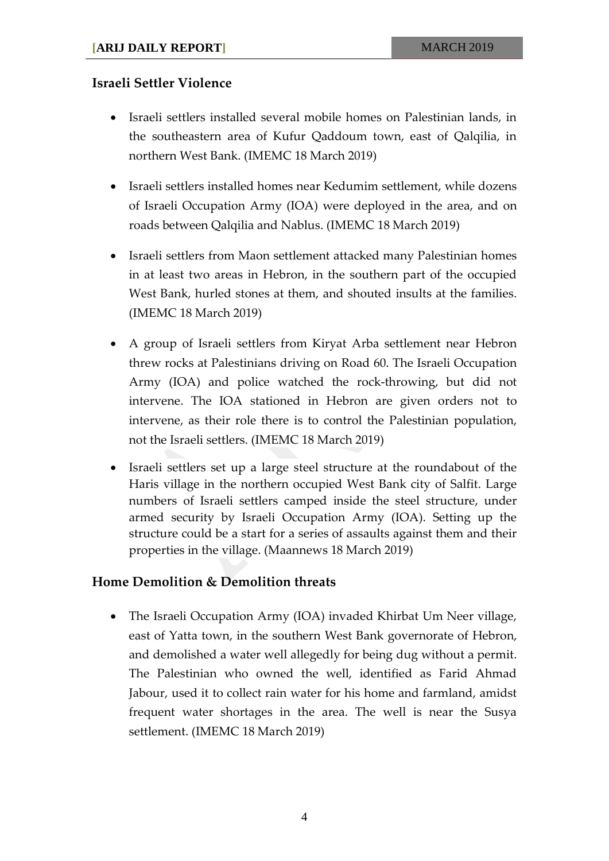#### **Israeli Settler Violence**

- Israeli settlers installed several mobile homes on Palestinian lands, in the southeastern area of Kufur Qaddoum town, east of Qalqilia, in northern West Bank. (IMEMC 18 March 2019)
- Israeli settlers installed homes near Kedumim settlement, while dozens of Israeli Occupation Army (IOA) were deployed in the area, and on roads between Qalqilia and Nablus. (IMEMC 18 March 2019)
- Israeli settlers from Maon settlement attacked many Palestinian homes in at least two areas in Hebron, in the southern part of the occupied West Bank, hurled stones at them, and shouted insults at the families. (IMEMC 18 March 2019)
- A group of Israeli settlers from Kiryat Arba settlement near Hebron threw rocks at Palestinians driving on Road 60. The Israeli Occupation Army (IOA) and police watched the rock-throwing, but did not intervene. The IOA stationed in Hebron are given orders not to intervene, as their role there is to control the Palestinian population, not the Israeli settlers. (IMEMC 18 March 2019)
- Israeli settlers set up a large steel structure at the roundabout of the Haris village in the northern occupied West Bank city of Salfit. Large numbers of Israeli settlers camped inside the steel structure, under armed security by Israeli Occupation Army (IOA). Setting up the structure could be a start for a series of assaults against them and their properties in the village. (Maannews 18 March 2019)

#### **Home Demolition & Demolition threats**

• The Israeli Occupation Army (IOA) invaded Khirbat Um Neer village, east of Yatta town, in the southern West Bank governorate of Hebron, and demolished a water well allegedly for being dug without a permit. The Palestinian who owned the well, identified as Farid Ahmad Jabour, used it to collect rain water for his home and farmland, amidst frequent water shortages in the area. The well is near the Susya settlement. (IMEMC 18 March 2019)